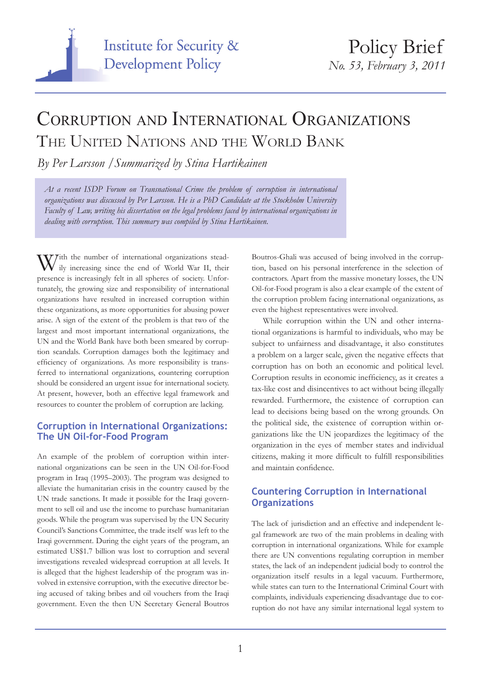

## Corruption and International Organizations THE UNITED NATIONS AND THE WORLD BANK

*By Per Larsson /Summarized by Stina Hartikainen*

*At a recent ISDP Forum on Transnational Crime the problem of corruption in international organizations was discussed by Per Larsson. He is a PhD Candidate at the Stockholm University Faculty of Law, writing his dissertation on the legal problems faced by international organizations in dealing with corruption. This summary was compiled by Stina Hartikainen.*

With the number of international organizations stead-<br>ily increasing since the end of World War II, their presence is increasingly felt in all spheres of society. Unfortunately, the growing size and responsibility of international organizations have resulted in increased corruption within these organizations, as more opportunities for abusing power arise. A sign of the extent of the problem is that two of the largest and most important international organizations, the UN and the World Bank have both been smeared by corruption scandals. Corruption damages both the legitimacy and efficiency of organizations. As more responsibility is transferred to international organizations, countering corruption should be considered an urgent issue for international society. At present, however, both an effective legal framework and resources to counter the problem of corruption are lacking.

## **Corruption in International Organizations: The UN Oil-for-Food Program**

An example of the problem of corruption within international organizations can be seen in the UN Oil-for-Food program in Iraq (1995–2003). The program was designed to alleviate the humanitarian crisis in the country caused by the UN trade sanctions. It made it possible for the Iraqi government to sell oil and use the income to purchase humanitarian goods. While the program was supervised by the UN Security Council's Sanctions Committee, the trade itself was left to the Iraqi government. During the eight years of the program, an estimated US\$1.7 billion was lost to corruption and several investigations revealed widespread corruption at all levels. It is alleged that the highest leadership of the program was involved in extensive corruption, with the executive director being accused of taking bribes and oil vouchers from the Iraqi government. Even the then UN Secretary General Boutros

Boutros-Ghali was accused of being involved in the corruption, based on his personal interference in the selection of contractors. Apart from the massive monetary losses, the UN Oil-for-Food program is also a clear example of the extent of the corruption problem facing international organizations, as even the highest representatives were involved.

While corruption within the UN and other international organizations is harmful to individuals, who may be subject to unfairness and disadvantage, it also constitutes a problem on a larger scale, given the negative effects that corruption has on both an economic and political level. Corruption results in economic inefficiency, as it creates a tax-like cost and disincentives to act without being illegally rewarded. Furthermore, the existence of corruption can lead to decisions being based on the wrong grounds. On the political side, the existence of corruption within organizations like the UN jeopardizes the legitimacy of the organization in the eyes of member states and individual citizens, making it more difficult to fulfill responsibilities and maintain confidence.

## **Countering Corruption in International Organizations**

The lack of jurisdiction and an effective and independent legal framework are two of the main problems in dealing with corruption in international organizations. While for example there are UN conventions regulating corruption in member states, the lack of an independent judicial body to control the organization itself results in a legal vacuum. Furthermore, while states can turn to the International Criminal Court with complaints, individuals experiencing disadvantage due to corruption do not have any similar international legal system to